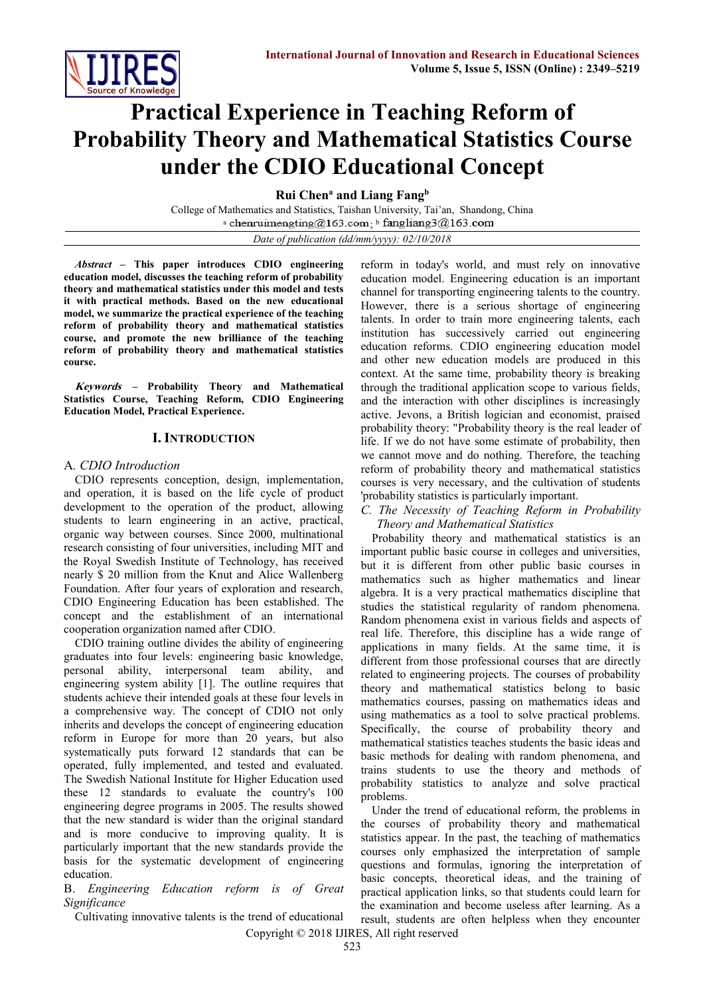

# **Practical Experience in Teaching Reform of Probability Theory and Mathematical Statistics Course under the CDIO Educational Concept**

**Rui Chen<sup>a</sup> and Liang Fang<sup>b</sup>**

College of Mathematics and Statistics, Taishan University, Tai'an, Shandong, China a chenruimengting@163.com<sub>;</sub> b

*Date of publication (dd/mm/yyyy): 02/10/2018*

*Abstract –* **This paper introduces CDIO engineering education model, discusses the teaching reform of probability theory and mathematical statistics under this model and tests it with practical methods. Based on the new educational model, we summarize the practical experience of the teaching reform of probability theory and mathematical statistics course, and promote the new brilliance of the teaching reform of probability theory and mathematical statistics course.**

**Keywords – Probability Theory and Mathematical Statistics Course, Teaching Reform, CDIO Engineering Education Model, Practical Experience.**

## **I. INTRODUCTION**

## A*. CDIO Introduction*

CDIO represents conception, design, implementation, and operation, it is based on the life cycle of product development to the operation of the product, allowing students to learn engineering in an active, practical, organic way between courses. Since 2000, multinational research consisting of four universities, including MIT and the Royal Swedish Institute of Technology, has received nearly \$ 20 million from the Knut and Alice Wallenberg Foundation. After four years of exploration and research, CDIO Engineering Education has been established. The concept and the establishment of an international cooperation organization named after CDIO.

CDIO training outline divides the ability of engineering graduates into four levels: engineering basic knowledge, personal ability, interpersonal team ability, and engineering system ability [1]. The outline requires that students achieve their intended goals at these four levels in a comprehensive way. The concept of CDIO not only inherits and develops the concept of engineering education reform in Europe for more than 20 years, but also systematically puts forward 12 standards that can be operated, fully implemented, and tested and evaluated. The Swedish National Institute for Higher Education used these 12 standards to evaluate the country's 100 engineering degree programs in 2005. The results showed that the new standard is wider than the original standard and is more conducive to improving quality. It is particularly important that the new standards provide the basis for the systematic development of engineering education.

#### B. *Engineering Education reform is of Great Significance*

Cultivating innovative talents is the trend of educational

reform in today's world, and must rely on innovative education model. Engineering education is an important channel for transporting engineering talents to the country. However, there is a serious shortage of engineering talents. In order to train more engineering talents, each institution has successively carried out engineering education reforms. CDIO engineering education model and other new education models are produced in this context. At the same time, probability theory is breaking through the traditional application scope to various fields, and the interaction with other disciplines is increasingly active. Jevons, a British logician and economist, praised probability theory: "Probability theory is the real leader of life. If we do not have some estimate of probability, then we cannot move and do nothing. Therefore, the teaching reform of probability theory and mathematical statistics courses is very necessary, and the cultivation of students 'probability statistics is particularly important.

#### *C. The Necessity of Teaching Reform in Probability Theory and Mathematical Statistics*

Probability theory and mathematical statistics is an important public basic course in colleges and universities, but it is different from other public basic courses in mathematics such as higher mathematics and linear algebra. It is a very practical mathematics discipline that studies the statistical regularity of random phenomena. Random phenomena exist in various fields and aspects of real life. Therefore, this discipline has a wide range of applications in many fields. At the same time, it is different from those professional courses that are directly related to engineering projects. The courses of probability theory and mathematical statistics belong to basic mathematics courses, passing on mathematics ideas and using mathematics as a tool to solve practical problems. Specifically, the course of probability theory and mathematical statistics teaches students the basic ideas and basic methods for dealing with random phenomena, and trains students to use the theory and methods of probability statistics to analyze and solve practical problems.

Under the trend of educational reform, the problems in the courses of probability theory and mathematical statistics appear. In the past, the teaching of mathematics courses only emphasized the interpretation of sample questions and formulas, ignoring the interpretation of basic concepts, theoretical ideas, and the training of practical application links, so that students could learn for the examination and become useless after learning. As a result, students are often helpless when they encounter

Copyright © 2018 IJIRES, All right reserved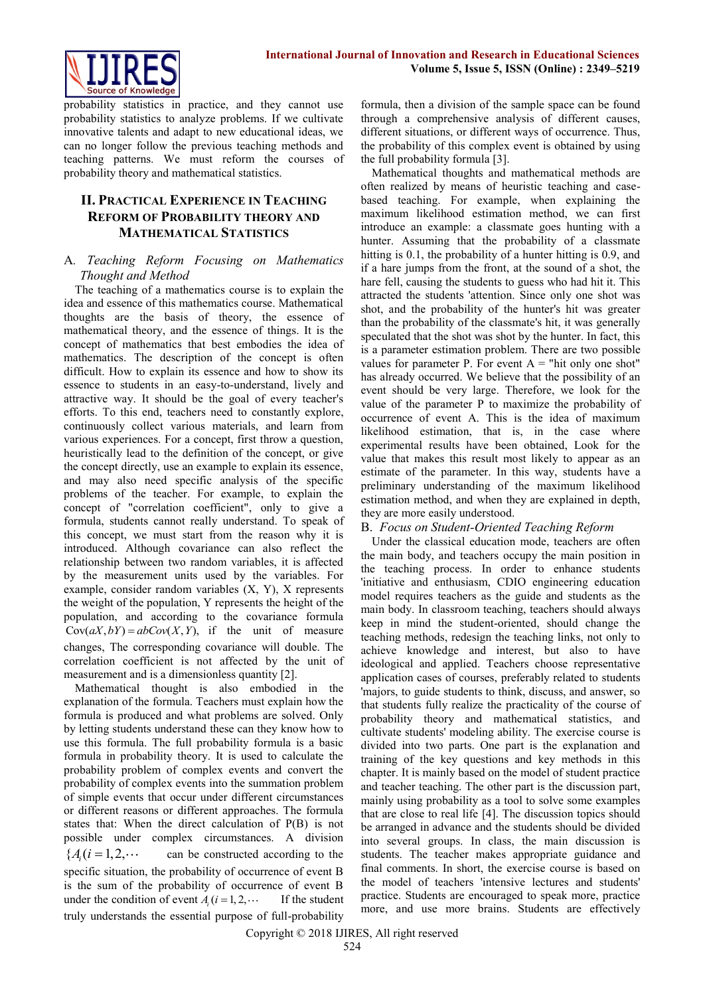

probability statistics in practice, and they cannot use probability statistics to analyze problems. If we cultivate innovative talents and adapt to new educational ideas, we can no longer follow the previous teaching methods and teaching patterns. We must reform the courses of probability theory and mathematical statistics.

# **II. PRACTICAL EXPERIENCE IN TEACHING REFORM OF PROBABILITY THEORY AND MATHEMATICAL STATISTICS**

## A*. Teaching Reform Focusing on Mathematics Thought and Method*

The teaching of a mathematics course is to explain the idea and essence of this mathematics course. Mathematical thoughts are the basis of theory, the essence of mathematical theory, and the essence of things. It is the concept of mathematics that best embodies the idea of mathematics. The description of the concept is often difficult. How to explain its essence and how to show its essence to students in an easy-to-understand, lively and attractive way. It should be the goal of every teacher's efforts. To this end, teachers need to constantly explore, continuously collect various materials, and learn from various experiences. For a concept, first throw a question, heuristically lead to the definition of the concept, or give the concept directly, use an example to explain its essence, and may also need specific analysis of the specific problems of the teacher. For example, to explain the concept of "correlation coefficient", only to give a formula, students cannot really understand. To speak of this concept, we must start from the reason why it is introduced. Although covariance can also reflect the relationship between two random variables, it is affected by the measurement units used by the variables. For example, consider random variables (X, Y), X represents the weight of the population, Y represents the height of the population, and according to the covariance formula Cov $(aX, bY) = abCov(X, Y)$ , if the unit of measure changes, The corresponding covariance will double. The correlation coefficient is not affected by the unit of measurement and is a dimensionless quantity [2].

Mathematical thought is also embodied in the explanation of the formula. Teachers must explain how the formula is produced and what problems are solved. Only by letting students understand these can they know how to use this formula. The full probability formula is a basic formula in probability theory. It is used to calculate the probability problem of complex events and convert the probability of complex events into the summation problem of simple events that occur under different circumstances or different reasons or different approaches. The formula states that: When the direct calculation of P(B) is not possible under complex circumstances. A division  ${A_i}$   $(i = 1, 2, \cdots)$ can be constructed according to the specific situation, the probability of occurrence of event B is the sum of the probability of occurrence of event B under the condition of event  $A_i$  ( $i = 1, 2, \cdots$ If the student truly understands the essential purpose of full-probability formula, then a division of the sample space can be found through a comprehensive analysis of different causes, different situations, or different ways of occurrence. Thus, the probability of this complex event is obtained by using the full probability formula [3].

Mathematical thoughts and mathematical methods are often realized by means of heuristic teaching and casebased teaching. For example, when explaining the maximum likelihood estimation method, we can first introduce an example: a classmate goes hunting with a hunter. Assuming that the probability of a classmate hitting is 0.1, the probability of a hunter hitting is 0.9, and if a hare jumps from the front, at the sound of a shot, the hare fell, causing the students to guess who had hit it. This attracted the students 'attention. Since only one shot was shot, and the probability of the hunter's hit was greater than the probability of the classmate's hit, it was generally speculated that the shot was shot by the hunter. In fact, this is a parameter estimation problem. There are two possible values for parameter P. For event  $A =$  "hit only one shot" has already occurred. We believe that the possibility of an event should be very large. Therefore, we look for the value of the parameter P to maximize the probability of occurrence of event A. This is the idea of maximum likelihood estimation, that is, in the case where experimental results have been obtained, Look for the value that makes this result most likely to appear as an estimate of the parameter. In this way, students have a preliminary understanding of the maximum likelihood estimation method, and when they are explained in depth, they are more easily understood.

## B. *Focus on Student-Oriented Teaching Reform*

Under the classical education mode, teachers are often the main body, and teachers occupy the main position in the teaching process. In order to enhance students 'initiative and enthusiasm, CDIO engineering education model requires teachers as the guide and students as the main body. In classroom teaching, teachers should always keep in mind the student-oriented, should change the teaching methods, redesign the teaching links, not only to achieve knowledge and interest, but also to have ideological and applied. Teachers choose representative application cases of courses, preferably related to students 'majors, to guide students to think, discuss, and answer, so that students fully realize the practicality of the course of probability theory and mathematical statistics, and cultivate students' modeling ability. The exercise course is divided into two parts. One part is the explanation and training of the key questions and key methods in this chapter. It is mainly based on the model of student practice and teacher teaching. The other part is the discussion part, mainly using probability as a tool to solve some examples that are close to real life [4]. The discussion topics should be arranged in advance and the students should be divided into several groups. In class, the main discussion is students. The teacher makes appropriate guidance and final comments. In short, the exercise course is based on the model of teachers 'intensive lectures and students' practice. Students are encouraged to speak more, practice more, and use more brains. Students are effectively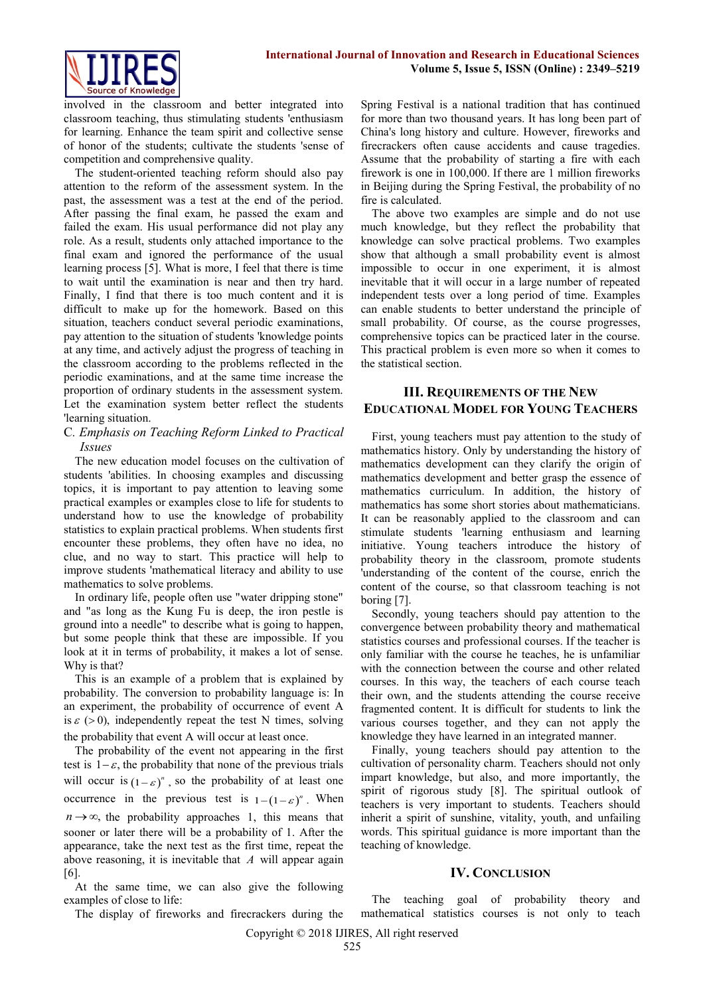

involved in the classroom and better integrated into classroom teaching, thus stimulating students 'enthusiasm for learning. Enhance the team spirit and collective sense of honor of the students; cultivate the students 'sense of competition and comprehensive quality.

The student-oriented teaching reform should also pay attention to the reform of the assessment system. In the past, the assessment was a test at the end of the period. After passing the final exam, he passed the exam and failed the exam. His usual performance did not play any role. As a result, students only attached importance to the final exam and ignored the performance of the usual learning process [5]. What is more, I feel that there is time to wait until the examination is near and then try hard. Finally, I find that there is too much content and it is difficult to make up for the homework. Based on this situation, teachers conduct several periodic examinations, pay attention to the situation of students 'knowledge points at any time, and actively adjust the progress of teaching in the classroom according to the problems reflected in the periodic examinations, and at the same time increase the proportion of ordinary students in the assessment system. Let the examination system better reflect the students 'learning situation.

## C*. Emphasis on Teaching Reform Linked to Practical Issues*

The new education model focuses on the cultivation of students 'abilities. In choosing examples and discussing topics, it is important to pay attention to leaving some practical examples or examples close to life for students to understand how to use the knowledge of probability statistics to explain practical problems. When students first encounter these problems, they often have no idea, no clue, and no way to start. This practice will help to improve students 'mathematical literacy and ability to use mathematics to solve problems.

In ordinary life, people often use "water dripping stone" and "as long as the Kung Fu is deep, the iron pestle is ground into a needle" to describe what is going to happen, but some people think that these are impossible. If you look at it in terms of probability, it makes a lot of sense. Why is that?

This is an example of a problem that is explained by probability. The conversion to probability language is: In an experiment, the probability of occurrence of event A is  $\varepsilon$  (>0), independently repeat the test N times, solving the probability that event A will occur at least once.

The probability of the event not appearing in the first test is  $1 - \varepsilon$ , the probability that none of the previous trials will occur is  $(1 - \varepsilon)^n$ , so the probability of at least one occurrence in the previous test is  $1 - (1 - \varepsilon)^n$ . When  $n \rightarrow \infty$ , the probability approaches 1, this means that sooner or later there will be a probability of 1. After the appearance, take the next test as the first time, repeat the above reasoning, it is inevitable that *A* will appear again [6].

At the same time, we can also give the following examples of close to life:

The display of fireworks and firecrackers during the

Spring Festival is a national tradition that has continued for more than two thousand years. It has long been part of China's long history and culture. However, fireworks and firecrackers often cause accidents and cause tragedies. Assume that the probability of starting a fire with each firework is one in 100,000. If there are 1 million fireworks in Beijing during the Spring Festival, the probability of no fire is calculated.

The above two examples are simple and do not use much knowledge, but they reflect the probability that knowledge can solve practical problems. Two examples show that although a small probability event is almost impossible to occur in one experiment, it is almost inevitable that it will occur in a large number of repeated independent tests over a long period of time. Examples can enable students to better understand the principle of small probability. Of course, as the course progresses, comprehensive topics can be practiced later in the course. This practical problem is even more so when it comes to the statistical section.

## **III. REQUIREMENTS OF THE NEW EDUCATIONAL MODEL FOR YOUNG TEACHERS**

First, young teachers must pay attention to the study of mathematics history. Only by understanding the history of mathematics development can they clarify the origin of mathematics development and better grasp the essence of mathematics curriculum. In addition, the history of mathematics has some short stories about mathematicians. It can be reasonably applied to the classroom and can stimulate students 'learning enthusiasm and learning initiative. Young teachers introduce the history of probability theory in the classroom, promote students 'understanding of the content of the course, enrich the content of the course, so that classroom teaching is not boring [7].

Secondly, young teachers should pay attention to the convergence between probability theory and mathematical statistics courses and professional courses. If the teacher is only familiar with the course he teaches, he is unfamiliar with the connection between the course and other related courses. In this way, the teachers of each course teach their own, and the students attending the course receive fragmented content. It is difficult for students to link the various courses together, and they can not apply the knowledge they have learned in an integrated manner.

Finally, young teachers should pay attention to the cultivation of personality charm. Teachers should not only impart knowledge, but also, and more importantly, the spirit of rigorous study [8]. The spiritual outlook of teachers is very important to students. Teachers should inherit a spirit of sunshine, vitality, youth, and unfailing words. This spiritual guidance is more important than the teaching of knowledge.

## **IV. CONCLUSION**

The teaching goal of probability theory and mathematical statistics courses is not only to teach

Copyright © 2018 IJIRES, All right reserved